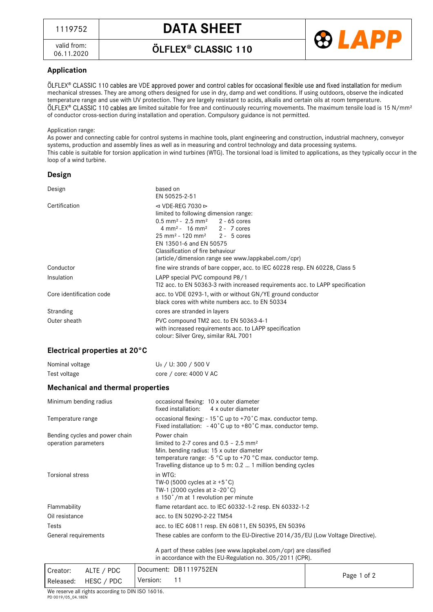valid from: 06.11.2020 ÖLFLEX<sup>®</sup> CLASSIC 110

**®LAPP** 

## **Application**

ÖLFLEX® CLASSIC 110 cables are VDE approved power and control cables for occasional flexible use and fixed installation for medium mechanical stresses. They are among others designed for use in dry, damp and wet conditions. If using outdoors, observe the indicated temperature range and use with UV protection. They are largely resistant to acids, alkalis and certain oils at room temperature. ÖLFLEX® CLASSIC 110 cables are limited suitable for free and continuously recurring movements. The maximum tensile load is 15 N/mm<sup>2</sup> of conductor cross-section during installation and operation. Compulsory guidance is not permitted.

#### Application range:

As power and connecting cable for control systems in machine tools, plant engineering and construction, industrial machnery, conveyor systems, production and assembly lines as well as in measuring and control technology and data processing systems. This cable is suitable for torsion application in wind turbines (WTG). The torsional load is limited to applications, as they typically occur in the loop of a wind turbine.

#### **Design**

| Design                   | based on<br>EN 50525-2-51                                                                                                                                                                                                                                                                                                                                                      |  |  |
|--------------------------|--------------------------------------------------------------------------------------------------------------------------------------------------------------------------------------------------------------------------------------------------------------------------------------------------------------------------------------------------------------------------------|--|--|
| Certification            | $\triangleleft$ VDE-REG 7030 $\triangleright$<br>limited to following dimension range:<br>$0.5$ mm <sup>2</sup> - 2.5 mm <sup>2</sup> 2 - 65 cores<br>$4 \text{ mm}^2 - 16 \text{ mm}^2$ 2 - 7 cores<br>$25 \text{ mm}^2 - 120 \text{ mm}^2$ 2 - 5 cores<br>EN 13501-6 and EN 50575<br>Classification of fire behaviour<br>(article/dimension range see www.lappkabel.com/cpr) |  |  |
| Conductor                | fine wire strands of bare copper, acc. to IEC 60228 resp. EN 60228, Class 5                                                                                                                                                                                                                                                                                                    |  |  |
| Insulation               | LAPP special PVC compound P8/1<br>TI2 acc. to EN 50363-3 rwith increased requirements acc. to LAPP specification                                                                                                                                                                                                                                                               |  |  |
| Core identification code | acc. to VDE 0293-1, with or without GN/YE ground conductor<br>black cores with white numbers acc. to EN 50334                                                                                                                                                                                                                                                                  |  |  |
| Stranding                | cores are stranded in layers                                                                                                                                                                                                                                                                                                                                                   |  |  |
| Outer sheath             | PVC compound TM2 acc. to EN 50363-4-1<br>with increased requirements acc. to LAPP specification<br>colour: Silver Grey, similar RAL 7001                                                                                                                                                                                                                                       |  |  |

## **Electrical properties at 20°C**

| Nominal voltage | U <sub>0</sub> / U: 300 / 500 V |
|-----------------|---------------------------------|
| Test voltage    | core / core: 4000 V AC          |

### **Mechanical and thermal properties**

| Minimum bending radius                                 | occasional flexing: 10 x outer diameter<br>fixed installation: 4 x outer diameter                                                                                                                                                                 |  |  |  |  |
|--------------------------------------------------------|---------------------------------------------------------------------------------------------------------------------------------------------------------------------------------------------------------------------------------------------------|--|--|--|--|
| Temperature range                                      | occasional flexing: $-15^{\circ}$ C up to $+70^{\circ}$ C max. conductor temp.<br>Fixed installation: $-40^{\circ}$ C up to $+80^{\circ}$ C max. conductor temp.                                                                                  |  |  |  |  |
| Bending cycles and power chain<br>operation parameters | Power chain<br>limited to 2-7 cores and $0.5 - 2.5$ mm <sup>2</sup><br>Min. bending radius: 15 x outer diameter<br>temperature range: $-5$ °C up to $+70$ °C max. conductor temp.<br>Travelling distance up to 5 m: 0.2  1 million bending cycles |  |  |  |  |
| Torsional stress                                       | in WTG:<br>TW-0 (5000 cycles at $\geq$ +5 °C)<br>TW-1 (2000 cycles at $\ge$ -20 °C)<br>$\pm$ 150°/m at 1 revolution per minute                                                                                                                    |  |  |  |  |
| Flammability                                           | flame retardant acc. to IEC 60332-1-2 resp. EN 60332-1-2                                                                                                                                                                                          |  |  |  |  |
| Oil resistance                                         | acc. to EN 50290-2-22 TM54                                                                                                                                                                                                                        |  |  |  |  |
| Tests                                                  | acc. to IEC 60811 resp. EN 60811, EN 50395, EN 50396                                                                                                                                                                                              |  |  |  |  |
| General requirements                                   | These cables are conform to the EU-Directive 2014/35/EU (Low Voltage Directive).                                                                                                                                                                  |  |  |  |  |
|                                                        | A part of these cables (see www.lappkabel.com/cpr) are classified<br>in accordance with the EU-Regulation no. 305/2011 (CPR).                                                                                                                     |  |  |  |  |
| $\Delta$ I TE / PDC<br>Creator                         | Document: DB1119752EN                                                                                                                                                                                                                             |  |  |  |  |

| Creator: | ALTE / PDC           |          | Document: DB1119752EN | Page 1 of 2 |
|----------|----------------------|----------|-----------------------|-------------|
|          | Released: HESC / PDC | Version: |                       |             |